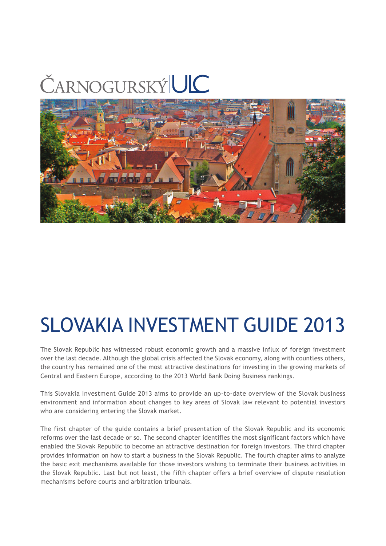# ČARNOGURSKÝLUC



# SLOVAKIA INVESTMENT GUIDE 2013

The Slovak Republic has witnessed robust economic growth and a massive influx of foreign investment over the last decade. Although the global crisis affected the Slovak economy, along with countless others, the country has remained one of the most attractive destinations for investing in the growing markets of Central and Eastern Europe, according to the 2013 World Bank Doing Business rankings.

This Slovakia Investment Guide 2013 aims to provide an up-to-date overview of the Slovak business environment and information about changes to key areas of Slovak law relevant to potential investors who are considering entering the Slovak market.

The first chapter of the guide contains a brief presentation of the Slovak Republic and its economic reforms over the last decade or so. The second chapter identifies the most significant factors which have enabled the Slovak Republic to become an attractive destination for foreign investors. The third chapter provides information on how to start a business in the Slovak Republic. The fourth chapter aims to analyze the basic exit mechanisms available for those investors wishing to terminate their business activities in the Slovak Republic. Last but not least, the fifth chapter offers a brief overview of dispute resolution mechanisms before courts and arbitration tribunals.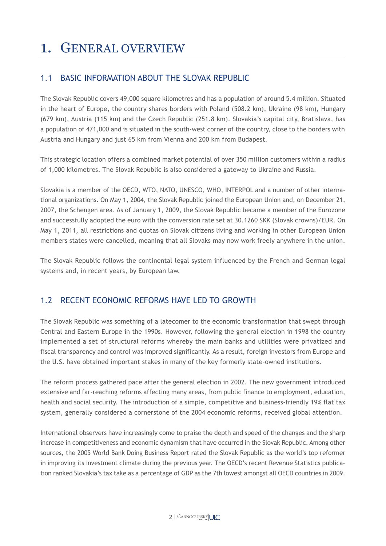# 1. GENERAL OVERVIEW

# 1.1 BASIC INFORMATION ABOUT THE SLOVAK REPUBLIC

The Slovak Republic covers 49,000 square kilometres and has a population of around 5.4 million. Situated in the heart of Europe, the country shares borders with Poland (508.2 km), Ukraine (98 km), Hungary (679 km), Austria (115 km) and the Czech Republic (251.8 km). Slovakia's capital city, Bratislava, has a population of 471,000 and is situated in the south-west corner of the country, close to the borders with Austria and Hungary and just 65 km from Vienna and 200 km from Budapest.

This strategic location offers a combined market potential of over 350 million customers within a radius of 1,000 kilometres. The Slovak Republic is also considered a gateway to Ukraine and Russia.

Slovakia is a member of the OECD, WTO, NATO, UNESCO, WHO, INTERPOL and a number of other international organizations. On May 1, 2004, the Slovak Republic joined the European Union and, on December 21, 2007, the Schengen area. As of January 1, 2009, the Slovak Republic became a member of the Eurozone and successfully adopted the euro with the conversion rate set at 30.1260 SKK (Slovak crowns)/EUR. On May 1, 2011, all restrictions and quotas on Slovak citizens living and working in other European Union members states were cancelled, meaning that all Slovaks may now work freely anywhere in the union.

The Slovak Republic follows the continental legal system influenced by the French and German legal systems and, in recent years, by European law.

# 1.2 RECENT ECONOMIC REFORMS HAVE LED TO GROWTH

The Slovak Republic was something of a latecomer to the economic transformation that swept through Central and Eastern Europe in the 1990s. However, following the general election in 1998 the country implemented a set of structural reforms whereby the main banks and utilities were privatized and fiscal transparency and control was improved significantly. As a result, foreign investors from Europe and the U.S. have obtained important stakes in many of the key formerly state-owned institutions.

The reform process gathered pace after the general election in 2002. The new government introduced extensive and far-reaching reforms affecting many areas, from public finance to employment, education, health and social security. The introduction of a simple, competitive and business-friendly 19% flat tax system, generally considered a cornerstone of the 2004 economic reforms, received global attention.

International observers have increasingly come to praise the depth and speed of the changes and the sharp increase in competitiveness and economic dynamism that have occurred in the Slovak Republic. Among other sources, the 2005 World Bank Doing Business Report rated the Slovak Republic as the world's top reformer in improving its investment climate during the previous year. The OECD's recent Revenue Statistics publication ranked Slovakia's tax take as a percentage of GDP as the 7th lowest amongst all OECD countries in 2009.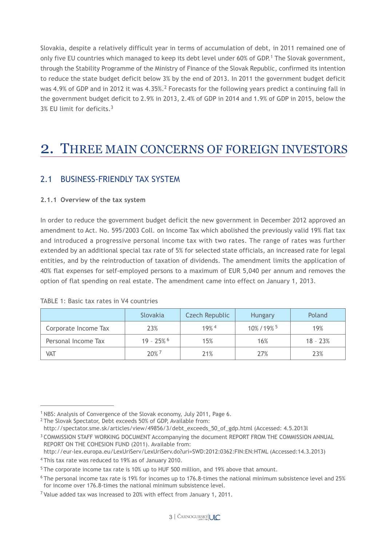Slovakia, despite a relatively difficult year in terms of accumulation of debt, in 2011 remained one of only five EU countries which managed to keep its debt level under 60% of GDP.1 The Slovak government, through the Stability Programme of the Ministry of Finance of the Slovak Republic, confirmed its intention to reduce the state budget deficit below 3% by the end of 2013. In 2011 the government budget deficit was 4.9% of GDP and in 2012 it was 4.35%.2 Forecasts for the following years predict a continuing fall in the government budget deficit to 2.9% in 2013, 2.4% of GDP in 2014 and 1.9% of GDP in 2015, below the 3% EU limit for deficits.3

# 2. THREE MAIN CONCERNS OF FOREIGN INVESTORS

# 2.1 BUSINESS-FRIENDLY TAX SYSTEM

#### **2.1.1 Overview of the tax system**

In order to reduce the government budget deficit the new government in December 2012 approved an amendment to Act. No. 595/2003 Coll. on Income Tax which abolished the previously valid 19% flat tax and introduced a progressive personal income tax with two rates. The range of rates was further extended by an additional special tax rate of 5% for selected state officials, an increased rate for legal entities, and by the reintroduction of taxation of dividends. The amendment limits the application of 40% flat expenses for self-employed persons to a maximum of EUR 5,040 per annum and removes the option of flat spending on real estate. The amendment came into effect on January 1, 2013.

|                      | Slovakia   | Czech Republic     | <b>Hungary</b>       | Poland     |
|----------------------|------------|--------------------|----------------------|------------|
| Corporate Income Tax | 23%        | $19%$ <sup>4</sup> | 10%/19% <sup>5</sup> | 19%        |
| Personal Income Tax  | $19 - 25%$ | 15%                | 16%                  | $18 - 23%$ |
| VAT                  | 20%7       | 21%                | 27%                  | 23%        |

TABLE 1: Basic tax rates in V4 countries

http://eur-lex.europa.eu/LexUriServ/LexUriServ.do?uri=SWD:2012:0362:FIN:EN:HTML (Accessed:14.3.2013)

<sup>1</sup> NBS: Analysis of Convergence of the Slovak economy, July 2011, Page 6.

<sup>2</sup> The Slovak Spectator, Debt exceeds 50% of GDP, Available from:

http://spectator.sme.sk/articles/view/49856/3/debt\_exceeds\_50\_of\_gdp.html (Accessed: 4.5.2013l

<sup>3</sup> COMMISSION STAFF WORKING DOCUMENT Accompanying the document REPORT FROM THE COMMISSION ANNUAL REPORT ON THE COHESION FUND (2011). Available from:

<sup>4</sup> This tax rate was reduced to 19% as of January 2010.

<sup>&</sup>lt;sup>5</sup> The corporate income tax rate is 10% up to HUF 500 million, and 19% above that amount.

<sup>6</sup> The personal income tax rate is 19% for incomes up to 176.8-times the national minimum subsistence level and 25% for income over 176.8-times the national minimum subsistence level.

<sup>7</sup> Value added tax was increased to 20% with effect from January 1, 2011.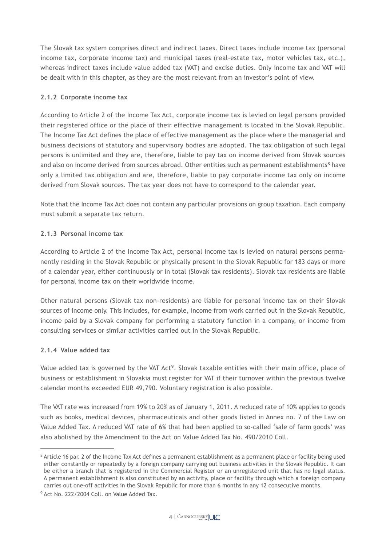The Slovak tax system comprises direct and indirect taxes. Direct taxes include income tax (personal income tax, corporate income tax) and municipal taxes (real-estate tax, motor vehicles tax, etc.), whereas indirect taxes include value added tax (VAT) and excise duties. Only income tax and VAT will be dealt with in this chapter, as they are the most relevant from an investor's point of view.

#### **2.1.2 Corporate income tax**

According to Article 2 of the Income Tax Act, corporate income tax is levied on legal persons provided their registered office or the place of their effective management is located in the Slovak Republic. The Income Tax Act defines the place of effective management as the place where the managerial and business decisions of statutory and supervisory bodies are adopted. The tax obligation of such legal persons is unlimited and they are, therefore, liable to pay tax on income derived from Slovak sources and also on income derived from sources abroad. Other entities such as permanent establishments<sup>8</sup> have only a limited tax obligation and are, therefore, liable to pay corporate income tax only on income derived from Slovak sources. The tax year does not have to correspond to the calendar year.

Note that the Income Tax Act does not contain any particular provisions on group taxation. Each company must submit a separate tax return.

### **2.1.3 Personal income tax**

According to Article 2 of the Income Tax Act, personal income tax is levied on natural persons permanently residing in the Slovak Republic or physically present in the Slovak Republic for 183 days or more of a calendar year, either continuously or in total (Slovak tax residents). Slovak tax residents are liable for personal income tax on their worldwide income.

Other natural persons (Slovak tax non-residents) are liable for personal income tax on their Slovak sources of income only. This includes, for example, income from work carried out in the Slovak Republic, income paid by a Slovak company for performing a statutory function in a company, or income from consulting services or similar activities carried out in the Slovak Republic.

#### **2.1.4 Value added tax**

Value added tax is governed by the VAT Act<sup>9</sup>. Slovak taxable entities with their main office, place of business or establishment in Slovakia must register for VAT if their turnover within the previous twelve calendar months exceeded EUR 49,790. Voluntary registration is also possible.

The VAT rate was increased from 19% to 20% as of January 1, 2011. A reduced rate of 10% applies to goods such as books, medical devices, pharmaceuticals and other goods listed in Annex no. 7 of the Law on Value Added Tax. A reduced VAT rate of 6% that had been applied to so-called 'sale of farm goods' was also abolished by the Amendment to the Act on Value Added Tax No. 490/2010 Coll.

<sup>&</sup>lt;sup>8</sup> Article 16 par. 2 of the Income Tax Act defines a permanent establishment as a permanent place or facility being used either constantly or repeatedly by a foreign company carrying out business activities in the Slovak Republic. It can be either a branch that is registered in the Commercial Register or an unregistered unit that has no legal status. A permanent establishment is also constituted by an activity, place or facility through which a foreign company carries out one-off activities in the Slovak Republic for more than 6 months in any 12 consecutive months.

<sup>9</sup> Act No. 222/2004 Coll. on Value Added Tax.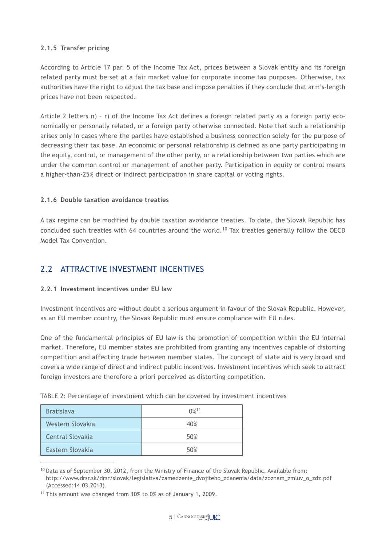#### **2.1.5 Transfer pricing**

According to Article 17 par. 5 of the Income Tax Act, prices between a Slovak entity and its foreign related party must be set at a fair market value for corporate income tax purposes. Otherwise, tax authorities have the right to adjust the tax base and impose penalties if they conclude that arm's-length prices have not been respected.

Article 2 letters n) – r) of the Income Tax Act defines a foreign related party as a foreign party economically or personally related, or a foreign party otherwise connected. Note that such a relationship arises only in cases where the parties have established a business connection solely for the purpose of decreasing their tax base. An economic or personal relationship is defined as one party participating in the equity, control, or management of the other party, or a relationship between two parties which are under the common control or management of another party. Participation in equity or control means a higher-than-25% direct or indirect participation in share capital or voting rights.

#### **2.1.6 Double taxation avoidance treaties**

A tax regime can be modified by double taxation avoidance treaties. To date, the Slovak Republic has concluded such treaties with 64 countries around the world.<sup>10</sup> Tax treaties generally follow the OECD Model Tax Convention.

## 2.2 ATTRACTIVE INVESTMENT INCENTIVES

#### **2.2.1 Investment incentives under EU law**

Investment incentives are without doubt a serious argument in favour of the Slovak Republic. However, as an EU member country, the Slovak Republic must ensure compliance with EU rules.

One of the fundamental principles of EU law is the promotion of competition within the EU internal market. Therefore, EU member states are prohibited from granting any incentives capable of distorting competition and affecting trade between member states. The concept of state aid is very broad and covers a wide range of direct and indirect public incentives. Investment incentives which seek to attract foreign investors are therefore a priori perceived as distorting competition.

| <b>Bratislava</b>       | $0\%$ <sup>11</sup> |
|-------------------------|---------------------|
| Western Slovakia        | 40%                 |
| <b>Central Slovakia</b> | 50%                 |
| Eastern Slovakia        | 50%                 |

TABLE 2: Percentage of investment which can be covered by investment incentives

 $10$  Data as of September 30, 2012, from the Ministry of Finance of the Slovak Republic. Available from: http://www.drsr.sk/drsr/slovak/legislativa/zamedzenie\_dvojiteho\_zdanenia/data/zoznam\_zmluv\_o\_zdz.pdf (Accessed:14.03.2013).

<sup>11</sup> This amount was changed from 10% to 0% as of January 1, 2009.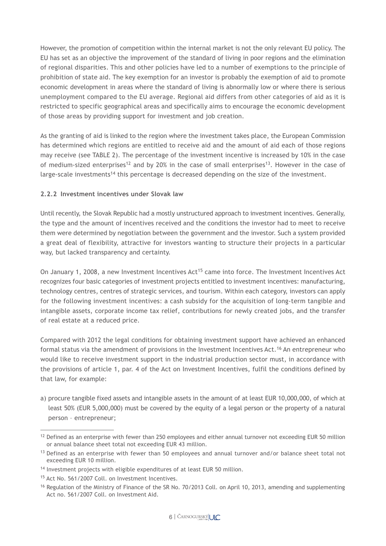However, the promotion of competition within the internal market is not the only relevant EU policy. The EU has set as an objective the improvement of the standard of living in poor regions and the elimination of regional disparities. This and other policies have led to a number of exemptions to the principle of prohibition of state aid. The key exemption for an investor is probably the exemption of aid to promote economic development in areas where the standard of living is abnormally low or where there is serious unemployment compared to the EU average. Regional aid differs from other categories of aid as it is restricted to specific geographical areas and specifically aims to encourage the economic development of those areas by providing support for investment and job creation.

As the granting of aid is linked to the region where the investment takes place, the European Commission has determined which regions are entitled to receive aid and the amount of aid each of those regions may receive (see TABLE 2). The percentage of the investment incentive is increased by 10% in the case of medium-sized enterprises<sup>12</sup> and by 20% in the case of small enterprises<sup>13</sup>. However in the case of large-scale investments<sup>14</sup> this percentage is decreased depending on the size of the investment.

#### **2.2.2 Investment incentives under Slovak law**

Until recently, the Slovak Republic had a mostly unstructured approach to investment incentives. Generally, the type and the amount of incentives received and the conditions the investor had to meet to receive them were determined by negotiation between the government and the investor. Such a system provided a great deal of flexibility, attractive for investors wanting to structure their projects in a particular way, but lacked transparency and certainty.

On January 1, 2008, a new Investment Incentives  $Act^{15}$  came into force. The Investment Incentives Act recognizes four basic categories of investment projects entitled to investment incentives: manufacturing, technology centres, centres of strategic services, and tourism. Within each category, investors can apply for the following investment incentives: a cash subsidy for the acquisition of long-term tangible and intangible assets, corporate income tax relief, contributions for newly created jobs, and the transfer of real estate at a reduced price.

Compared with 2012 the legal conditions for obtaining investment support have achieved an enhanced formal status via the amendment of provisions in the Investment Incentives Act.<sup>16</sup> An entrepreneur who would like to receive investment support in the industrial production sector must, in accordance with the provisions of article 1, par. 4 of the Act on Investment Incentives, fulfil the conditions defined by that law, for example:

a) procure tangible fixed assets and intangible assets in the amount of at least EUR 10,000,000, of which at least 50% (EUR 5,000,000) must be covered by the equity of a legal person or the property of a natural person – entrepreneur;

<sup>&</sup>lt;sup>12</sup> Defined as an enterprise with fewer than 250 employees and either annual turnover not exceeding EUR 50 million or annual balance sheet total not exceeding EUR 43 million.

<sup>13</sup> Defined as an enterprise with fewer than 50 employees and annual turnover and/or balance sheet total not exceeding EUR 10 million.

<sup>&</sup>lt;sup>14</sup> Investment projects with eligible expenditures of at least EUR 50 million.

<sup>15</sup> Act No. 561/2007 Coll. on Investment Incentives.

<sup>&</sup>lt;sup>16</sup> Regulation of the Ministry of Finance of the SR No. 70/2013 Coll. on April 10, 2013, amending and supplementing Act no. 561/2007 Coll. on Investment Aid.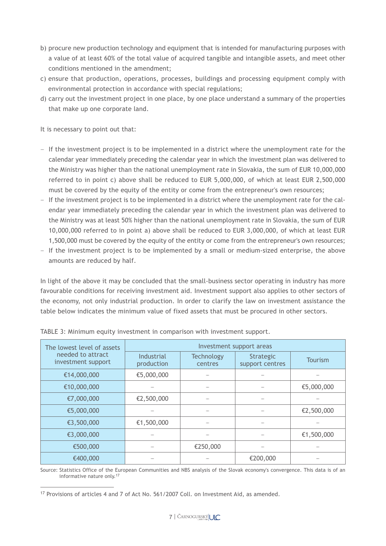- b) procure new production technology and equipment that is intended for manufacturing purposes with a value of at least 60% of the total value of acquired tangible and intangible assets, and meet other conditions mentioned in the amendment;
- c) ensure that production, operations, processes, buildings and processing equipment comply with environmental protection in accordance with special regulations;
- d) carry out the investment project in one place, by one place understand a summary of the properties that make up one corporate land.

It is necessary to point out that:

- –– If the investment project is to be implemented in a district where the unemployment rate for the calendar year immediately preceding the calendar year in which the investment plan was delivered to the Ministry was higher than the national unemployment rate in Slovakia, the sum of EUR 10,000,000 referred to in point c) above shall be reduced to EUR 5,000,000, of which at least EUR 2,500,000 must be covered by the equity of the entity or come from the entrepreneur's own resources;
- –– If the investment project is to be implemented in a district where the unemployment rate for the calendar year immediately preceding the calendar year in which the investment plan was delivered to the Ministry was at least 50% higher than the national unemployment rate in Slovakia, the sum of EUR 10,000,000 referred to in point a) above shall be reduced to EUR 3,000,000, of which at least EUR 1,500,000 must be covered by the equity of the entity or come from the entrepreneur's own resources;
- –– If the investment project is to be implemented by a small or medium-sized enterprise, the above amounts are reduced by half.

In light of the above it may be concluded that the small-business sector operating in industry has more favourable conditions for receiving investment aid. Investment support also applies to other sectors of the economy, not only industrial production. In order to clarify the law on investment assistance the table below indicates the minimum value of fixed assets that must be procured in other sectors.

| The lowest level of assets              | Investment support areas |                              |                                     |                |  |  |  |
|-----------------------------------------|--------------------------|------------------------------|-------------------------------------|----------------|--|--|--|
| needed to attract<br>investment support | Industrial<br>production | <b>Technology</b><br>centres | <b>Strategic</b><br>support centres | <b>Tourism</b> |  |  |  |
| €14,000,000                             | €5,000,000               |                              |                                     |                |  |  |  |
| €10,000,000                             |                          |                              |                                     | €5,000,000     |  |  |  |
| €7,000,000                              | €2,500,000               |                              |                                     |                |  |  |  |
| €5,000,000                              |                          |                              |                                     | €2,500,000     |  |  |  |
| €3,500,000                              | €1,500,000               |                              |                                     |                |  |  |  |
| €3,000,000                              |                          |                              |                                     | €1,500,000     |  |  |  |
| €500,000                                |                          | €250,000                     |                                     |                |  |  |  |
| €400,000                                |                          |                              | €200,000                            |                |  |  |  |

TABLE 3: Minimum equity investment in comparison with investment support.

Source: Statistics Office of the European Communities and NBS analysis of the Slovak economy's convergence. This data is of an informative nature only.17

<sup>&</sup>lt;sup>17</sup> Provisions of articles 4 and 7 of Act No. 561/2007 Coll. on Investment Aid, as amended.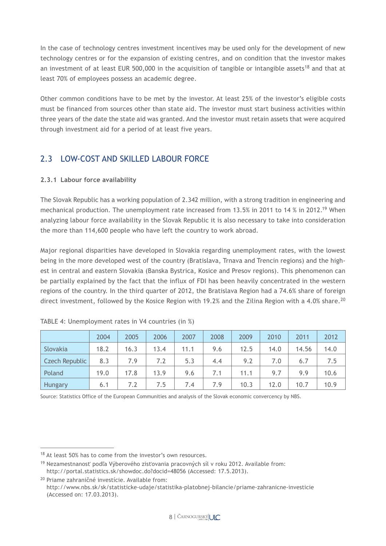In the case of technology centres investment incentives may be used only for the development of new technology centres or for the expansion of existing centres, and on condition that the investor makes an investment of at least EUR 500,000 in the acquisition of tangible or intangible assets<sup>18</sup> and that at least 70% of employees possess an academic degree.

Other common conditions have to be met by the investor. At least 25% of the investor's eligible costs must be financed from sources other than state aid. The investor must start business activities within three years of the date the state aid was granted. And the investor must retain assets that were acquired through investment aid for a period of at least five years.

# 2.3 LOW-COST AND SKILLED LABOUR FORCE

### **2.3.1 Labour force availability**

The Slovak Republic has a working population of 2.342 million, with a strong tradition in engineering and mechanical production. The unemployment rate increased from 13.5% in 2011 to 14 % in 2012.<sup>19</sup> When analyzing labour force availability in the Slovak Republic it is also necessary to take into consideration the more than 114,600 people who have left the country to work abroad.

Major regional disparities have developed in Slovakia regarding unemployment rates, with the lowest being in the more developed west of the country (Bratislava, Trnava and Trencin regions) and the highest in central and eastern Slovakia (Banska Bystrica, Kosice and Presov regions). This phenomenon can be partially explained by the fact that the influx of FDI has been heavily concentrated in the western regions of the country. In the third quarter of 2012, the Bratislava Region had a 74.6% share of foreign direct investment, followed by the Kosice Region with 19.2% and the Zilina Region with a 4.0% share.<sup>20</sup>

|                       | 2004 | 2005 | 2006 | 2007 | 2008 | 2009 | 2010 | 2011  | 2012 |
|-----------------------|------|------|------|------|------|------|------|-------|------|
| Slovakia              | 18.2 | 16.3 | 13.4 | 11.1 | 9.6  | 12.5 | 14.0 | 14.56 | 14.0 |
| <b>Czech Republic</b> | 8.3  | 7.9  | 7.2  | 5.3  | 4.4  | 9.2  | 7.0  | 6.7   | 7.5  |
| Poland                | 19.0 | 17.8 | 13.9 | 9.6  | 7.1  | 11.1 | 9.7  | 9.9   | 10.6 |
| Hungary               | 6.1  | 7.2  | 7.5  | 7.4  | 7.9  | 10.3 | 12.0 | 10.7  | 10.9 |

| TABLE 4: Unemployment rates in V4 countries (in %) |  |  |  |  |  |  |  |
|----------------------------------------------------|--|--|--|--|--|--|--|
|----------------------------------------------------|--|--|--|--|--|--|--|

Source: Statistics Office of the European Communities and analysis of the Slovak economic convercency by NBS.

<sup>&</sup>lt;sup>18</sup> At least 50% has to come from the investor's own resources.

<sup>19</sup> Nezamestnanosť podľa Výberového zisťovania pracovných síl v roku 2012. Available from: http://portal.statistics.sk/showdoc.do?docid=48056 (Accessed: 17.5.2013).

<sup>20</sup> Priame zahraničné investície. Available from: http://www.nbs.sk/sk/statisticke-udaje/statistika-platobnej-bilancie/priame-zahranicne-investicie (Accessed on: 17.03.2013).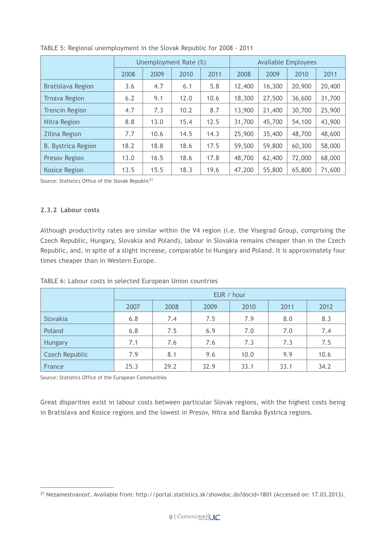|                           | Unemployment Rate (%) |      |      |      | <b>Available Employees</b> |        |        |        |
|---------------------------|-----------------------|------|------|------|----------------------------|--------|--------|--------|
|                           | 2008                  | 2009 | 2010 | 2011 | 2008                       | 2009   | 2010   | 2011   |
| <b>Bratislava Region</b>  | 3.6                   | 4.7  | 6.1  | 5.8  | 12,400                     | 16,300 | 20,900 | 20,400 |
| <b>Trnava Region</b>      | 6.2                   | 9.1  | 12.0 | 10.6 | 18,300                     | 27,500 | 36,600 | 31,700 |
| <b>Trencin Region</b>     | 4.7                   | 7.3  | 10.2 | 8.7  | 13,900                     | 21,400 | 30,700 | 25,900 |
| Nitra Region              | 8.8                   | 13.0 | 15.4 | 12.5 | 31,700                     | 45,700 | 54,100 | 43,900 |
| <b>Zilina Region</b>      | 7.7                   | 10.6 | 14.5 | 14.3 | 25,900                     | 35,400 | 48,700 | 48,600 |
| <b>B. Bystrica Region</b> | 18.2                  | 18.8 | 18.6 | 17.5 | 59,500                     | 59,800 | 60,300 | 58,000 |
| <b>Presov Region</b>      | 13.0                  | 16.5 | 18.6 | 17.8 | 48,700                     | 62,400 | 72,000 | 68,000 |
| <b>Kosice Region</b>      | 13.5                  | 15.5 | 18.3 | 19.6 | 47,200                     | 55,800 | 65,800 | 71,600 |



Source: Statistics Office of the Slovak Republic<sup>21</sup>

#### **2.3.2 Labour costs**

Although productivity rates are similar within the V4 region (i.e. the Visegrad Group, comprising the Czech Republic, Hungary, Slovakia and Poland), labour in Slovakia remains cheaper than in the Czech Republic, and, in spite of a slight increase, comparable to Hungary and Poland. It is approximately four times cheaper than in Western Europe.

|  | TABLE 6: Labour costs in selected European Union countries |  |  |  |  |  |
|--|------------------------------------------------------------|--|--|--|--|--|
|--|------------------------------------------------------------|--|--|--|--|--|

|                       | EUR / hour |      |      |      |      |      |  |  |
|-----------------------|------------|------|------|------|------|------|--|--|
|                       | 2007       | 2008 | 2009 | 2010 | 2011 | 2012 |  |  |
| Slovakia              | 6.8        | 7.4  | 7.5  | 7.9  | 8.0  | 8.3  |  |  |
| Poland                | 6.8        | 7.5  | 6.9  | 7.0  | 7.0  | 7.4  |  |  |
| <b>Hungary</b>        | 7.1        | 7.6  | 7.6  | 7.3  | 7.3  | 7.5  |  |  |
| <b>Czech Republic</b> | 7.9        | 8.1  | 9.6  | 10.0 | 9.9  | 10.6 |  |  |
| France                | 25.3       | 29.2 | 32.9 | 33.1 | 33.1 | 34.2 |  |  |

Source: Statistics Office of the European Communities

Great disparities exist in labour costs between particular Slovak regions, with the highest costs being in Bratislava and Kosice regions and the lowest in Presov, Nitra and Banska Bystrica regions.

<sup>21</sup> Nezamestnanosť. Available from: http://portal.statistics.sk/showdoc.do?docid=1801 (Accessed on: 17.03.2013).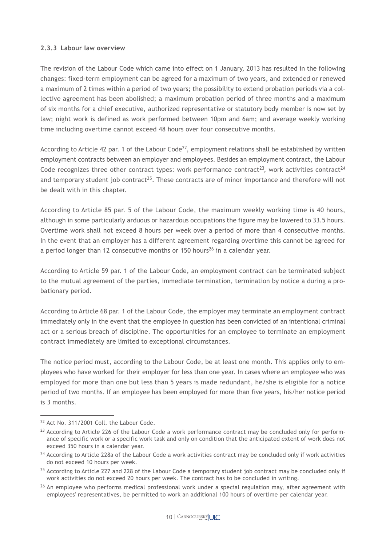#### **2.3.3 Labour law overview**

The revision of the Labour Code which came into effect on 1 January, 2013 has resulted in the following changes: fixed-term employment can be agreed for a maximum of two years, and extended or renewed a maximum of 2 times within a period of two years; the possibility to extend probation periods via a collective agreement has been abolished; a maximum probation period of three months and a maximum of six months for a chief executive, authorized representative or statutory body member is now set by law; night work is defined as work performed between 10pm and 6am; and average weekly working time including overtime cannot exceed 48 hours over four consecutive months.

According to Article 42 par. 1 of the Labour Code<sup>22</sup>, employment relations shall be established by written employment contracts between an employer and employees. Besides an employment contract, the Labour Code recognizes three other contract types: work performance contract<sup>23</sup>, work activities contract<sup>24</sup> and temporary student job contract<sup>25</sup>. These contracts are of minor importance and therefore will not be dealt with in this chapter.

According to Article 85 par. 5 of the Labour Code, the maximum weekly working time is 40 hours, although in some particularly arduous or hazardous occupations the figure may be lowered to 33.5 hours. Overtime work shall not exceed 8 hours per week over a period of more than 4 consecutive months. In the event that an employer has a different agreement regarding overtime this cannot be agreed for a period longer than 12 consecutive months or 150 hours<sup>26</sup> in a calendar year.

According to Article 59 par. 1 of the Labour Code, an employment contract can be terminated subject to the mutual agreement of the parties, immediate termination, termination by notice a during a probationary period.

According to Article 68 par. 1 of the Labour Code, the employer may terminate an employment contract immediately only in the event that the employee in question has been convicted of an intentional criminal act or a serious breach of discipline. The opportunities for an employee to terminate an employment contract immediately are limited to exceptional circumstances.

The notice period must, according to the Labour Code, be at least one month. This applies only to employees who have worked for their employer for less than one year. In cases where an employee who was employed for more than one but less than 5 years is made redundant, he/she is eligible for a notice period of two months. If an employee has been employed for more than five years, his/her notice period is 3 months.

<sup>22</sup> Act No. 311/2001 Coll. the Labour Code.

<sup>&</sup>lt;sup>23</sup> According to Article 226 of the Labour Code a work performance contract may be concluded only for performance of specific work or a specific work task and only on condition that the anticipated extent of work does not exceed 350 hours in a calendar year.

<sup>&</sup>lt;sup>24</sup> According to Article 228a of the Labour Code a work activities contract may be concluded only if work activities do not exceed 10 hours per week.

 $25$  According to Article 227 and 228 of the Labour Code a temporary student job contract may be concluded only if work activities do not exceed 20 hours per week. The contract has to be concluded in writing.

<sup>&</sup>lt;sup>26</sup> An employee who performs medical professional work under a special regulation may, after agreement with employees' representatives, be permitted to work an additional 100 hours of overtime per calendar year.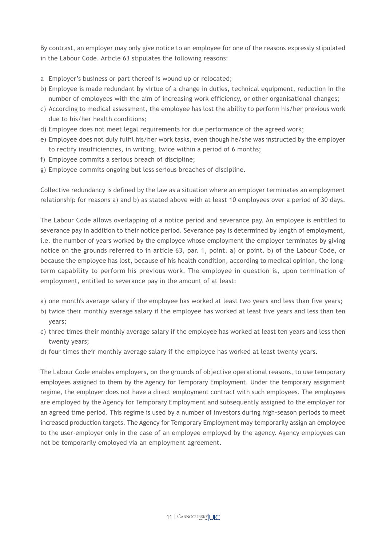By contrast, an employer may only give notice to an employee for one of the reasons expressly stipulated in the Labour Code. Article 63 stipulates the following reasons:

- a Employer's business or part thereof is wound up or relocated;
- b) Employee is made redundant by virtue of a change in duties, technical equipment, reduction in the number of employees with the aim of increasing work efficiency, or other organisational changes;
- c) According to medical assessment, the employee has lost the ability to perform his/her previous work due to his/her health conditions;
- d) Employee does not meet legal requirements for due performance of the agreed work;
- e) Employee does not duly fulfil his/her work tasks, even though he/she was instructed by the employer to rectify insufficiencies, in writing, twice within a period of 6 months;
- f) Employee commits a serious breach of discipline;
- g) Employee commits ongoing but less serious breaches of discipline.

Collective redundancy is defined by the law as a situation where an employer terminates an employment relationship for reasons a) and b) as stated above with at least 10 employees over a period of 30 days.

The Labour Code allows overlapping of a notice period and severance pay. An employee is entitled to severance pay in addition to their notice period. Severance pay is determined by length of employment, i.e. the number of years worked by the employee whose employment the employer terminates by giving notice on the grounds referred to in article 63, par. 1, point. a) or point. b) of the Labour Code, or because the employee has lost, because of his health condition, according to medical opinion, the longterm capability to perform his previous work. The employee in question is, upon termination of employment, entitled to severance pay in the amount of at least:

- a) one month's average salary if the employee has worked at least two years and less than five years;
- b) twice their monthly average salary if the employee has worked at least five years and less than ten years;
- c) three times their monthly average salary if the employee has worked at least ten years and less then twenty years;
- d) four times their monthly average salary if the employee has worked at least twenty years.

The Labour Code enables employers, on the grounds of objective operational reasons, to use temporary employees assigned to them by the Agency for Temporary Employment. Under the temporary assignment regime, the employer does not have a direct employment contract with such employees. The employees are employed by the Agency for Temporary Employment and subsequently assigned to the employer for an agreed time period. This regime is used by a number of investors during high-season periods to meet increased production targets. The Agency for Temporary Employment may temporarily assign an employee to the user-employer only in the case of an employee employed by the agency. Agency employees can not be temporarily employed via an employment agreement.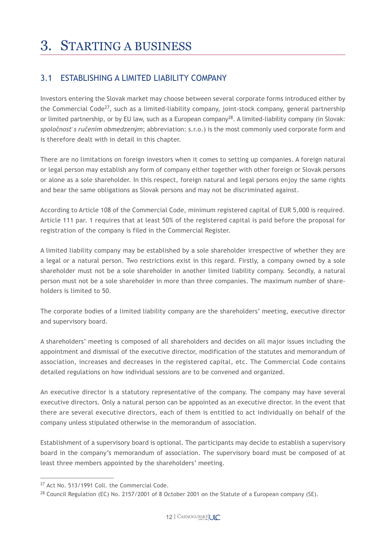# 3. STARTING A BUSINESS

# 3.1 ESTABLISHING A LIMITED LIABILITY COMPANY

Investors entering the Slovak market may choose between several corporate forms introduced either by the Commercial Code<sup>27</sup>, such as a limited-liability company, joint-stock company, general partnership or limited partnership, or by EU law, such as a European company<sup>28</sup>. A limited-liability company (in Slovak: *spoločnosť s ručením obmedzeným*; abbreviation: s.r.o.) is the most commonly used corporate form and is therefore dealt with in detail in this chapter.

There are no limitations on foreign investors when it comes to setting up companies. A foreign natural or legal person may establish any form of company either together with other foreign or Slovak persons or alone as a sole shareholder. In this respect, foreign natural and legal persons enjoy the same rights and bear the same obligations as Slovak persons and may not be discriminated against.

According to Article 108 of the Commercial Code, minimum registered capital of EUR 5,000 is required. Article 111 par. 1 requires that at least 50% of the registered capital is paid before the proposal for registration of the company is filed in the Commercial Register.

A limited liability company may be established by a sole shareholder irrespective of whether they are a legal or a natural person. Two restrictions exist in this regard. Firstly, a company owned by a sole shareholder must not be a sole shareholder in another limited liability company. Secondly, a natural person must not be a sole shareholder in more than three companies. The maximum number of shareholders is limited to 50.

The corporate bodies of a limited liability company are the shareholders' meeting, executive director and supervisory board.

A shareholders' meeting is composed of all shareholders and decides on all major issues including the appointment and dismissal of the executive director, modification of the statutes and memorandum of association, increases and decreases in the registered capital, etc. The Commercial Code contains detailed regulations on how individual sessions are to be convened and organized.

An executive director is a statutory representative of the company. The company may have several executive directors. Only a natural person can be appointed as an executive director. In the event that there are several executive directors, each of them is entitled to act individually on behalf of the company unless stipulated otherwise in the memorandum of association.

Establishment of a supervisory board is optional. The participants may decide to establish a supervisory board in the company's memorandum of association. The supervisory board must be composed of at least three members appointed by the shareholders' meeting.

<sup>27</sup> Act No. 513/1991 Coll. the Commercial Code.

<sup>&</sup>lt;sup>28</sup> Council Regulation (EC) No. 2157/2001 of 8 October 2001 on the Statute of a European company (SE).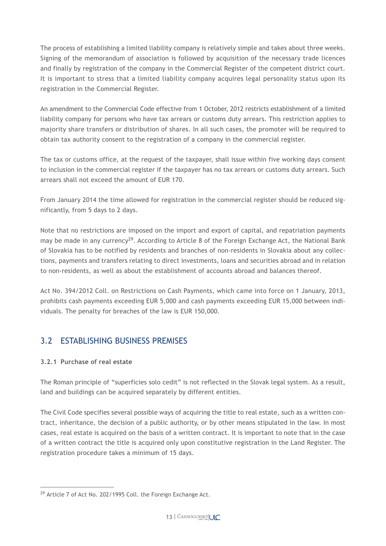The process of establishing a limited liability company is relatively simple and takes about three weeks. Signing of the memorandum of association is followed by acquisition of the necessary trade licences and finally by registration of the company in the Commercial Register of the competent district court. It is important to stress that a limited liability company acquires legal personality status upon its registration in the Commercial Register.

An amendment to the Commercial Code effective from 1 October, 2012 restricts establishment of a limited liability company for persons who have tax arrears or customs duty arrears. This restriction applies to majority share transfers or distribution of shares. In all such cases, the promoter will be required to obtain tax authority consent to the registration of a company in the commercial register.

The tax or customs office, at the request of the taxpayer, shall issue within five working days consent to inclusion in the commercial register if the taxpayer has no tax arrears or customs duty arrears. Such arrears shall not exceed the amount of EUR 170.

From January 2014 the time allowed for registration in the commercial register should be reduced significantly, from 5 days to 2 days.

Note that no restrictions are imposed on the import and export of capital, and repatriation payments may be made in any currency<sup>29</sup>. According to Article 8 of the Foreign Exchange Act, the National Bank of Slovakia has to be notified by residents and branches of non-residents in Slovakia about any collections, payments and transfers relating to direct investments, loans and securities abroad and in relation to non-residents, as well as about the establishment of accounts abroad and balances thereof.

Act No. 394/2012 Coll. on Restrictions on Cash Payments, which came into force on 1 January, 2013, prohibits cash payments exceeding EUR 5,000 and cash payments exceeding EUR 15,000 between individuals. The penalty for breaches of the law is EUR 150,000.

# 3.2 ESTABLISHING BUSINESS PREMISES

### **3.2.1 Purchase of real estate**

The Roman principle of "superficies solo cedit" is not reflected in the Slovak legal system. As a result, land and buildings can be acquired separately by different entities.

The Civil Code specifies several possible ways of acquiring the title to real estate, such as a written contract, inheritance, the decision of a public authority, or by other means stipulated in the law. In most cases, real estate is acquired on the basis of a written contract. It is important to note that in the case of a written contract the title is acquired only upon constitutive registration in the Land Register. The registration procedure takes a minimum of 15 days.

<sup>&</sup>lt;sup>29</sup> Article 7 of Act No. 202/1995 Coll. the Foreign Exchange Act.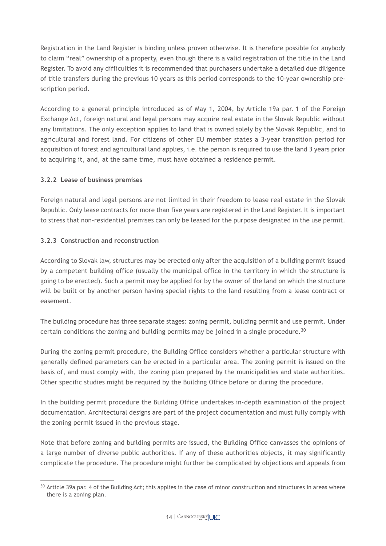Registration in the Land Register is binding unless proven otherwise. It is therefore possible for anybody to claim "real" ownership of a property, even though there is a valid registration of the title in the Land Register. To avoid any difficulties it is recommended that purchasers undertake a detailed due diligence of title transfers during the previous 10 years as this period corresponds to the 10-year ownership prescription period.

According to a general principle introduced as of May 1, 2004, by Article 19a par. 1 of the Foreign Exchange Act, foreign natural and legal persons may acquire real estate in the Slovak Republic without any limitations. The only exception applies to land that is owned solely by the Slovak Republic, and to agricultural and forest land. For citizens of other EU member states a 3-year transition period for acquisition of forest and agricultural land applies, i.e. the person is required to use the land 3 years prior to acquiring it, and, at the same time, must have obtained a residence permit.

### **3.2.2 Lease of business premises**

Foreign natural and legal persons are not limited in their freedom to lease real estate in the Slovak Republic. Only lease contracts for more than five years are registered in the Land Register. It is important to stress that non-residential premises can only be leased for the purpose designated in the use permit.

### **3.2.3 Construction and reconstruction**

According to Slovak law, structures may be erected only after the acquisition of a building permit issued by a competent building office (usually the municipal office in the territory in which the structure is going to be erected). Such a permit may be applied for by the owner of the land on which the structure will be built or by another person having special rights to the land resulting from a lease contract or easement.

The building procedure has three separate stages: zoning permit, building permit and use permit. Under certain conditions the zoning and building permits may be joined in a single procedure.<sup>30</sup>

During the zoning permit procedure, the Building Office considers whether a particular structure with generally defined parameters can be erected in a particular area. The zoning permit is issued on the basis of, and must comply with, the zoning plan prepared by the municipalities and state authorities. Other specific studies might be required by the Building Office before or during the procedure.

In the building permit procedure the Building Office undertakes in-depth examination of the project documentation. Architectural designs are part of the project documentation and must fully comply with the zoning permit issued in the previous stage.

Note that before zoning and building permits are issued, the Building Office canvasses the opinions of a large number of diverse public authorities. If any of these authorities objects, it may significantly complicate the procedure. The procedure might further be complicated by objections and appeals from

 $30$  Article 39a par. 4 of the Building Act; this applies in the case of minor construction and structures in areas where there is a zoning plan.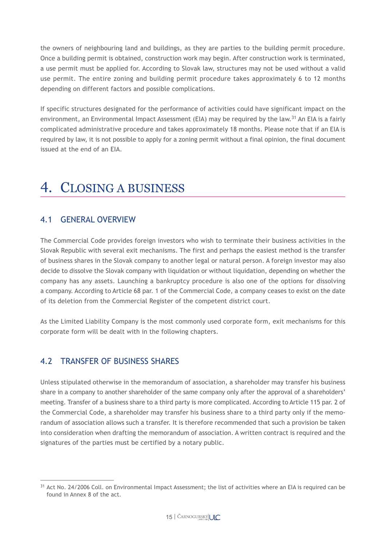the owners of neighbouring land and buildings, as they are parties to the building permit procedure. Once a building permit is obtained, construction work may begin. After construction work is terminated, a use permit must be applied for. According to Slovak law, structures may not be used without a valid use permit. The entire zoning and building permit procedure takes approximately 6 to 12 months depending on different factors and possible complications.

If specific structures designated for the performance of activities could have significant impact on the environment, an Environmental Impact Assessment (EIA) may be required by the law.<sup>31</sup> An EIA is a fairly complicated administrative procedure and takes approximately 18 months. Please note that if an EIA is required by law, it is not possible to apply for a zoning permit without a final opinion, the final document issued at the end of an EIA.

# 4. CLOSING A BUSINESS

## 4.1 GENERAL OVERVIEW

The Commercial Code provides foreign investors who wish to terminate their business activities in the Slovak Republic with several exit mechanisms. The first and perhaps the easiest method is the transfer of business shares in the Slovak company to another legal or natural person. A foreign investor may also decide to dissolve the Slovak company with liquidation or without liquidation, depending on whether the company has any assets. Launching a bankruptcy procedure is also one of the options for dissolving a company. According to Article 68 par. 1 of the Commercial Code, a company ceases to exist on the date of its deletion from the Commercial Register of the competent district court.

As the Limited Liability Company is the most commonly used corporate form, exit mechanisms for this corporate form will be dealt with in the following chapters.

# 4.2 TRANSFER OF BUSINESS SHARES

Unless stipulated otherwise in the memorandum of association, a shareholder may transfer his business share in a company to another shareholder of the same company only after the approval of a shareholders' meeting. Transfer of a business share to a third party is more complicated. According to Article 115 par. 2 of the Commercial Code, a shareholder may transfer his business share to a third party only if the memorandum of association allows such a transfer. It is therefore recommended that such a provision be taken into consideration when drafting the memorandum of association. A written contract is required and the signatures of the parties must be certified by a notary public.

<sup>&</sup>lt;sup>31</sup> Act No. 24/2006 Coll. on Environmental Impact Assessment; the list of activities where an EIA is required can be found in Annex 8 of the act.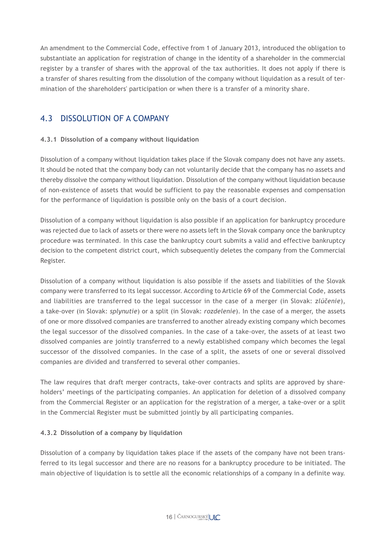An amendment to the Commercial Code, effective from 1 of January 2013, introduced the obligation to substantiate an application for registration of change in the identity of a shareholder in the commercial register by a transfer of shares with the approval of the tax authorities. It does not apply if there is a transfer of shares resulting from the dissolution of the company without liquidation as a result of termination of the shareholders' participation or when there is a transfer of a minority share.

# 4.3 DISSOLUTION OF A COMPANY

### **4.3.1 Dissolution of a company without liquidation**

Dissolution of a company without liquidation takes place if the Slovak company does not have any assets. It should be noted that the company body can not voluntarily decide that the company has no assets and thereby dissolve the company without liquidation. Dissolution of the company without liquidation because of non-existence of assets that would be sufficient to pay the reasonable expenses and compensation for the performance of liquidation is possible only on the basis of a court decision.

Dissolution of a company without liquidation is also possible if an application for bankruptcy procedure was rejected due to lack of assets or there were no assets left in the Slovak company once the bankruptcy procedure was terminated. In this case the bankruptcy court submits a valid and effective bankruptcy decision to the competent district court, which subsequently deletes the company from the Commercial Register.

Dissolution of a company without liquidation is also possible if the assets and liabilities of the Slovak company were transferred to its legal successor. According to Article 69 of the Commercial Code, assets and liabilities are transferred to the legal successor in the case of a merger (in Slovak: *zlúčenie*), a take-over (in Slovak: *splynutie*) or a split (in Slovak: *rozdelenie*). In the case of a merger, the assets of one or more dissolved companies are transferred to another already existing company which becomes the legal successor of the dissolved companies. In the case of a take-over, the assets of at least two dissolved companies are jointly transferred to a newly established company which becomes the legal successor of the dissolved companies. In the case of a split, the assets of one or several dissolved companies are divided and transferred to several other companies.

The law requires that draft merger contracts, take-over contracts and splits are approved by shareholders' meetings of the participating companies. An application for deletion of a dissolved company from the Commercial Register or an application for the registration of a merger, a take-over or a split in the Commercial Register must be submitted jointly by all participating companies.

#### **4.3.2 Dissolution of a company by liquidation**

Dissolution of a company by liquidation takes place if the assets of the company have not been transferred to its legal successor and there are no reasons for a bankruptcy procedure to be initiated. The main objective of liquidation is to settle all the economic relationships of a company in a definite way.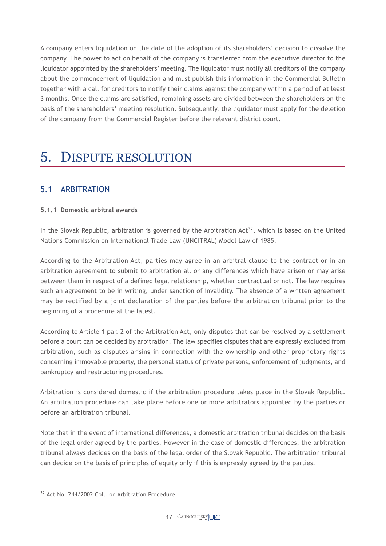A company enters liquidation on the date of the adoption of its shareholders' decision to dissolve the company. The power to act on behalf of the company is transferred from the executive director to the liquidator appointed by the shareholders' meeting. The liquidator must notify all creditors of the company about the commencement of liquidation and must publish this information in the Commercial Bulletin together with a call for creditors to notify their claims against the company within a period of at least 3 months. Once the claims are satisfied, remaining assets are divided between the shareholders on the basis of the shareholders' meeting resolution. Subsequently, the liquidator must apply for the deletion of the company from the Commercial Register before the relevant district court.

# 5. DISPUTE RESOLUTION

## 5.1 ARBITRATION

#### **5.1.1 Domestic arbitral awards**

In the Slovak Republic, arbitration is governed by the Arbitration Act<sup>32</sup>, which is based on the United Nations Commission on International Trade Law (UNCITRAL) Model Law of 1985.

According to the Arbitration Act, parties may agree in an arbitral clause to the contract or in an arbitration agreement to submit to arbitration all or any differences which have arisen or may arise between them in respect of a defined legal relationship, whether contractual or not. The law requires such an agreement to be in writing, under sanction of invalidity. The absence of a written agreement may be rectified by a joint declaration of the parties before the arbitration tribunal prior to the beginning of a procedure at the latest.

According to Article 1 par. 2 of the Arbitration Act, only disputes that can be resolved by a settlement before a court can be decided by arbitration. The law specifies disputes that are expressly excluded from arbitration, such as disputes arising in connection with the ownership and other proprietary rights concerning immovable property, the personal status of private persons, enforcement of judgments, and bankruptcy and restructuring procedures.

Arbitration is considered domestic if the arbitration procedure takes place in the Slovak Republic. An arbitration procedure can take place before one or more arbitrators appointed by the parties or before an arbitration tribunal.

Note that in the event of international differences, a domestic arbitration tribunal decides on the basis of the legal order agreed by the parties. However in the case of domestic differences, the arbitration tribunal always decides on the basis of the legal order of the Slovak Republic. The arbitration tribunal can decide on the basis of principles of equity only if this is expressly agreed by the parties.

<sup>32</sup> Act No. 244/2002 Coll. on Arbitration Procedure.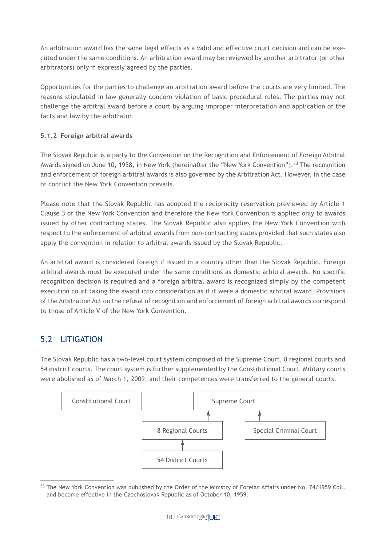An arbitration award has the same legal effects as a valid and effective court decision and can be executed under the same conditions. An arbitration award may be reviewed by another arbitrator (or other arbitrators) only if expressly agreed by the parties.

Opportunities for the parties to challenge an arbitration award before the courts are very limited. The reasons stipulated in law generally concern violation of basic procedural rules. The parties may not challenge the arbitral award before a court by arguing improper interpretation and application of the facts and law by the arbitrator.

### **5.1.2 Foreign arbitral awards**

The Slovak Republic is a party to the Convention on the Recognition and Enforcement of Foreign Arbitral Awards signed on June 10, 1958, in New York (hereinafter the "New York Convention").<sup>33</sup> The recognition and enforcement of foreign arbitral awards is also governed by the Arbitration Act. However, in the case of conflict the New York Convention prevails.

Please note that the Slovak Republic has adopted the reciprocity reservation previewed by Article 1 Clause 3 of the New York Convention and therefore the New York Convention is applied only to awards issued by other contracting states. The Slovak Republic also applies the New York Convention with respect to the enforcement of arbitral awards from non-contracting states provided that such states also apply the convention in relation to arbitral awards issued by the Slovak Republic.

An arbitral award is considered foreign if issued in a country other than the Slovak Republic. Foreign arbitral awards must be executed under the same conditions as domestic arbitral awards. No specific recognition decision is required and a foreign arbitral award is recognized simply by the competent execution court taking the award into consideration as if it were a domestic arbitral award. Provisions of the Arbitration Act on the refusal of recognition and enforcement of foreign arbitral awards correspond to those of Article V of the New York Convention.

# 5.2 LITIGATION

The Slovak Republic has a two-level court system composed of the Supreme Court, 8 regional courts and 54 district courts. The court system is further supplemented by the Constitutional Court. Military courts were abolished as of March 1, 2009, and their competences were transferred to the general courts.



<sup>&</sup>lt;sup>33</sup> The New York Convention was published by the Order of the Ministry of Foreign Affairs under No. 74/1959 Coll. and become effective in the Czechoslovak Republic as of October 10, 1959.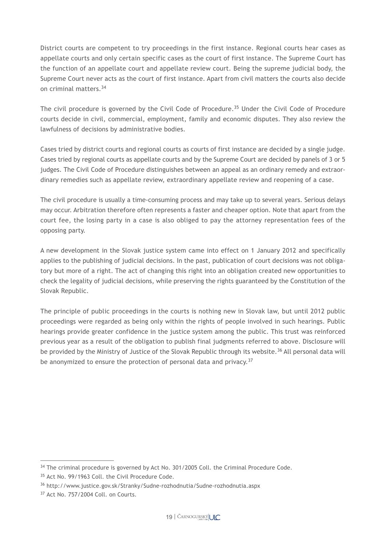District courts are competent to try proceedings in the first instance. Regional courts hear cases as appellate courts and only certain specific cases as the court of first instance. The Supreme Court has the function of an appellate court and appellate review court. Being the supreme judicial body, the Supreme Court never acts as the court of first instance. Apart from civil matters the courts also decide on criminal matters.34

The civil procedure is governed by the Civil Code of Procedure.<sup>35</sup> Under the Civil Code of Procedure courts decide in civil, commercial, employment, family and economic disputes. They also review the lawfulness of decisions by administrative bodies.

Cases tried by district courts and regional courts as courts of first instance are decided by a single judge. Cases tried by regional courts as appellate courts and by the Supreme Court are decided by panels of 3 or 5 judges. The Civil Code of Procedure distinguishes between an appeal as an ordinary remedy and extraordinary remedies such as appellate review, extraordinary appellate review and reopening of a case.

The civil procedure is usually a time-consuming process and may take up to several years. Serious delays may occur. Arbitration therefore often represents a faster and cheaper option. Note that apart from the court fee, the losing party in a case is also obliged to pay the attorney representation fees of the opposing party.

A new development in the Slovak justice system came into effect on 1 January 2012 and specifically applies to the publishing of judicial decisions. In the past, publication of court decisions was not obligatory but more of a right. The act of changing this right into an obligation created new opportunities to check the legality of judicial decisions, while preserving the rights guaranteed by the Constitution of the Slovak Republic.

The principle of public proceedings in the courts is nothing new in Slovak law, but until 2012 public proceedings were regarded as being only within the rights of people involved in such hearings. Public hearings provide greater confidence in the justice system among the public. This trust was reinforced previous year as a result of the obligation to publish final judgments referred to above. Disclosure will be provided by the Ministry of Justice of the Slovak Republic through its website.<sup>36</sup> All personal data will be anonymized to ensure the protection of personal data and privacy.<sup>37</sup>

<sup>&</sup>lt;sup>34</sup> The criminal procedure is governed by Act No. 301/2005 Coll. the Criminal Procedure Code.

<sup>&</sup>lt;sup>35</sup> Act No. 99/1963 Coll. the Civil Procedure Code.

<sup>36</sup> http://www.justice.gov.sk/Stranky/Sudne-rozhodnutia/Sudne-rozhodnutia.aspx

<sup>37</sup> Act No. 757/2004 Coll. on Courts.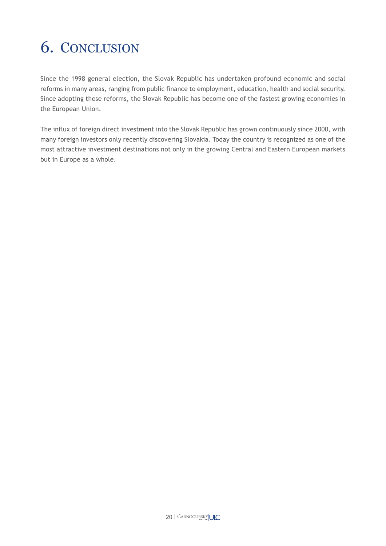# 6. CONCLUSION

Since the 1998 general election, the Slovak Republic has undertaken profound economic and social reforms in many areas, ranging from public finance to employment, education, health and social security. Since adopting these reforms, the Slovak Republic has become one of the fastest growing economies in the European Union.

The influx of foreign direct investment into the Slovak Republic has grown continuously since 2000, with many foreign investors only recently discovering Slovakia. Today the country is recognized as one of the most attractive investment destinations not only in the growing Central and Eastern European markets but in Europe as a whole.